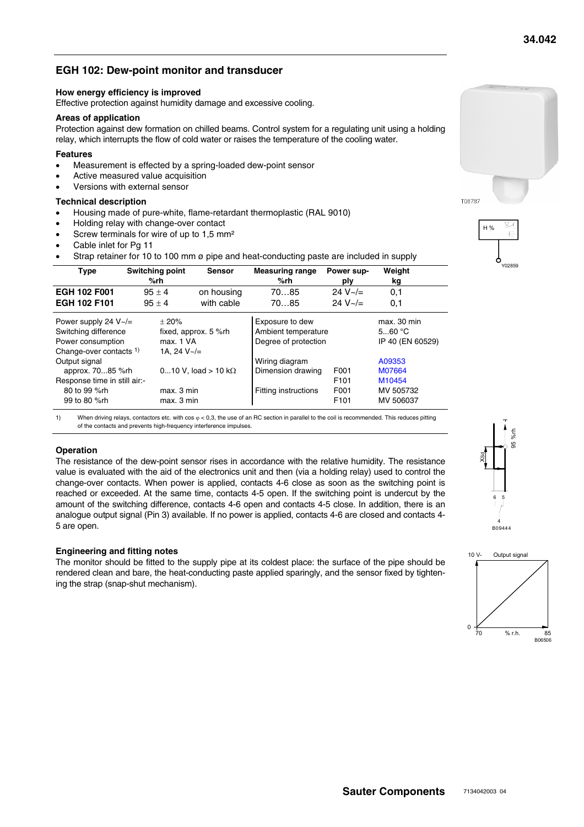# **EGH 102: Dew-point monitor and transducer**

#### **How energy efficiency is improved**

Effective protection against humidity damage and excessive cooling.

#### **Areas of application**

Protection against dew formation on chilled beams. Control system for a regulating unit using a holding relay, which interrupts the flow of cold water or raises the temperature of the cooling water.

#### **Features**

- Measurement is effected by a spring-loaded dew-point sensor
- Active measured value acquisition
- Versions with external sensor

#### **Technical description**

- Housing made of pure-white, flame-retardant thermoplastic (RAL 9010)
- Holding relay with change-over contact
- Screw terminals for wire of up to 1.5 mm<sup>2</sup>
- Cable inlet for Pg 11
- Strap retainer for 10 to 100 mm ø pipe and heat-conducting paste are included in supply

| <b>Switching point</b><br><b>Type</b><br>%rh | <b>Sensor</b>               | <b>Measuring range</b><br>%rh | Power sup-<br>ply | Weight<br>kg     |
|----------------------------------------------|-----------------------------|-------------------------------|-------------------|------------------|
| <b>EGH 102 F001</b><br>$95 + 4$              | on housing                  | 7085                          | 24 $V \sim / =$   | 0,1              |
| EGH 102 F101<br>$95 + 4$                     | with cable                  | 7085                          | 24 $V \sim$ /=    | 0,1              |
| Power supply 24 $V \sim l =$                 | $\pm 20\%$                  | Exposure to dew               |                   | max. 30 min      |
| Switching difference                         | fixed, approx. 5 %rh        | Ambient temperature           |                   | 560 °C           |
| Power consumption                            | max. 1 VA                   | Degree of protection          |                   | IP 40 (EN 60529) |
| Change-over contacts 1)                      | 1A. 24 $V \sim l =$         |                               |                   |                  |
| Output signal                                |                             | Wiring diagram                |                   | A09353           |
| approx. 7085 %rh                             | 010 V, load > 10 k $\Omega$ | Dimension drawing             | F001              | M07664           |
| Response time in still air:-                 |                             |                               | F <sub>101</sub>  | M10454           |
| 80 to 99 %rh                                 | max. 3 min                  | <b>Fitting instructions</b>   | F001              | MV 505732        |
| 99 to 80 %rh                                 | max. 3 min                  |                               | F <sub>101</sub>  | MV 506037        |

1) When driving relays, contactors etc. with cos ∞ < 0.3, the use of an RC section in parallel to the coil is recommended. This reduces pitting of the contacts and prevents high-frequency interference impulses.

### **Operation**

The resistance of the dew-point sensor rises in accordance with the relative humidity. The resistance value is evaluated with the aid of the electronics unit and then (via a holding relay) used to control the change-over contacts. When power is applied, contacts 4-6 close as soon as the switching point is reached or exceeded. At the same time, contacts 4-5 open. If the switching point is undercut by the amount of the switching difference, contacts 4-6 open and contacts 4-5 close. In addition, there is an analogue output signal (Pin 3) available. If no power is applied, contacts 4-6 are closed and contacts 4- 5 are open.

#### **Engineering and fitting notes**

The monitor should be fitted to the supply pipe at its coldest place: the surface of the pipe should be rendered clean and bare, the heat-conducting paste applied sparingly, and the sensor fixed by tightening the strap (snap-shut mechanism).





T08787